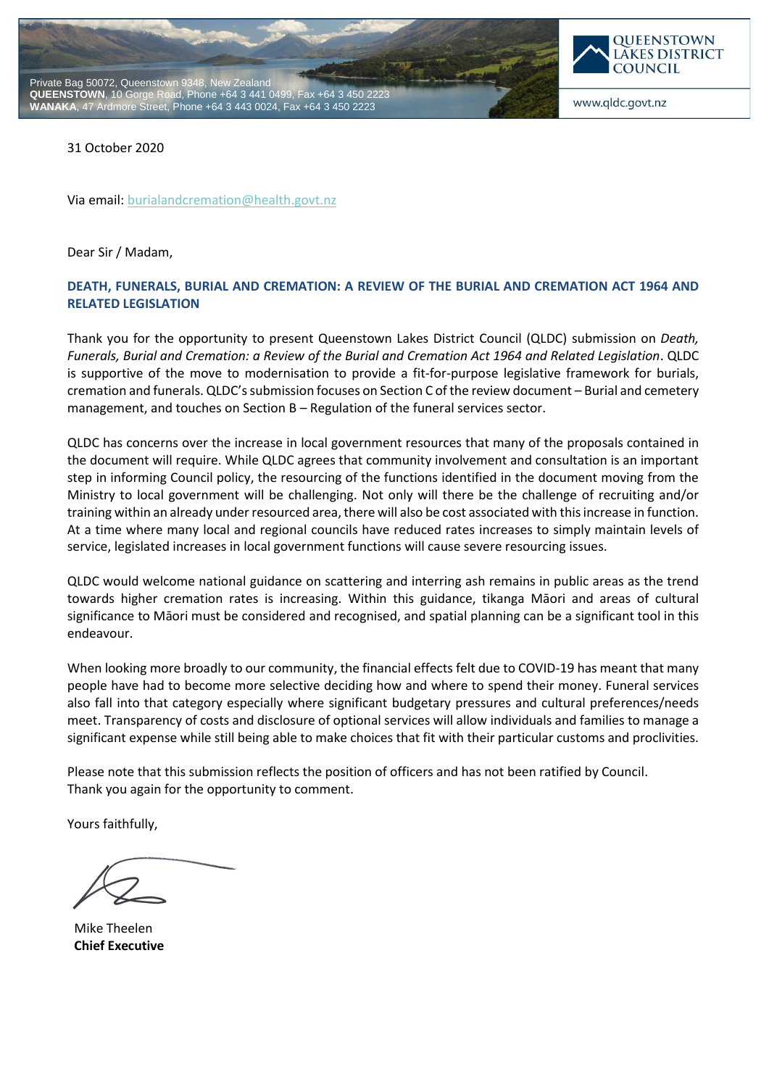



www.qldc.govt.nz

31 October 2020

Via email[: burialandcremation@health.govt.nz](mailto:burialandcremation@health.govt.nz)

Dear Sir / Madam,

# **DEATH, FUNERALS, BURIAL AND CREMATION: A REVIEW OF THE BURIAL AND CREMATION ACT 1964 AND RELATED LEGISLATION**

Thank you for the opportunity to present Queenstown Lakes District Council (QLDC) submission on *Death, Funerals, Burial and Cremation: a Review of the Burial and Cremation Act 1964 and Related Legislation*. QLDC is supportive of the move to modernisation to provide a fit-for-purpose legislative framework for burials, cremation and funerals. QLDC's submission focuses on Section C of the review document – Burial and cemetery management, and touches on Section B – Regulation of the funeral services sector.

QLDC has concerns over the increase in local government resources that many of the proposals contained in the document will require. While QLDC agrees that community involvement and consultation is an important step in informing Council policy, the resourcing of the functions identified in the document moving from the Ministry to local government will be challenging. Not only will there be the challenge of recruiting and/or training within an already under resourced area, there will also be cost associated with this increase in function. At a time where many local and regional councils have reduced rates increases to simply maintain levels of service, legislated increases in local government functions will cause severe resourcing issues.

QLDC would welcome national guidance on scattering and interring ash remains in public areas as the trend towards higher cremation rates is increasing. Within this guidance, tikanga Māori and areas of cultural significance to Māori must be considered and recognised, and spatial planning can be a significant tool in this endeavour.

When looking more broadly to our community, the financial effects felt due to COVID-19 has meant that many people have had to become more selective deciding how and where to spend their money. Funeral services also fall into that category especially where significant budgetary pressures and cultural preferences/needs meet. Transparency of costs and disclosure of optional services will allow individuals and families to manage a significant expense while still being able to make choices that fit with their particular customs and proclivities.

Please note that this submission reflects the position of officers and has not been ratified by Council. Thank you again for the opportunity to comment.

Yours faithfully,

Mike Theelen **Chief Executive**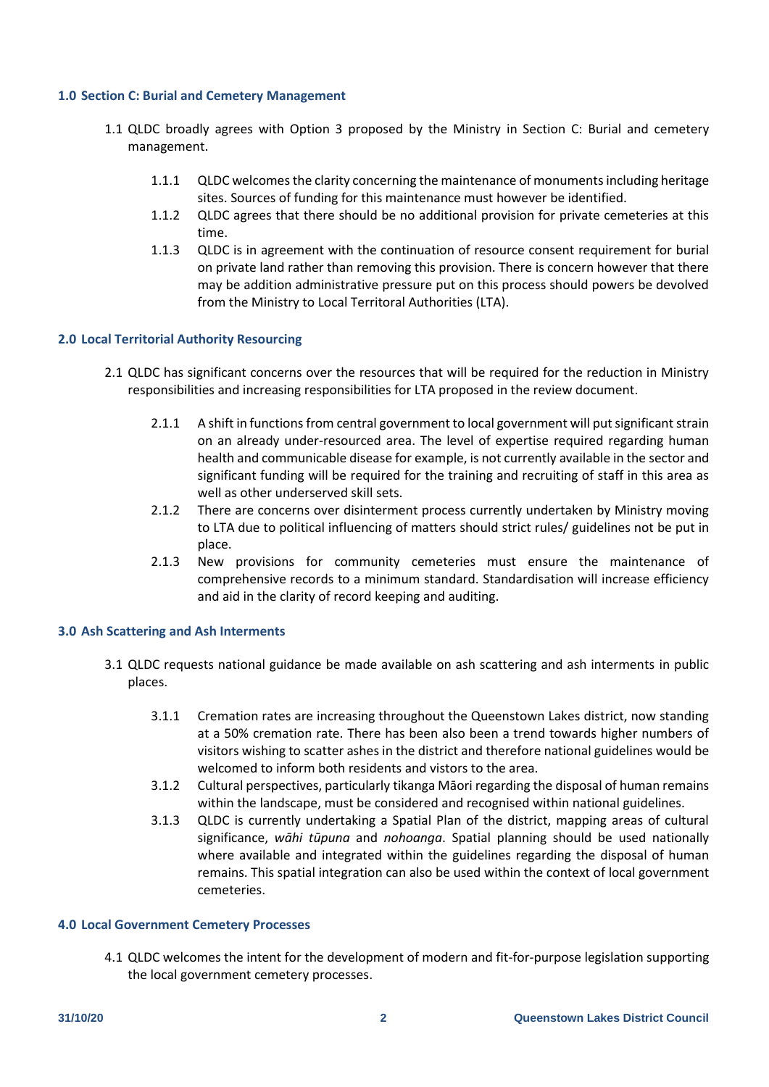#### **1.0 Section C: Burial and Cemetery Management**

- 1.1 QLDC broadly agrees with Option 3 proposed by the Ministry in Section C: Burial and cemetery management.
	- 1.1.1 QLDC welcomes the clarity concerning the maintenance of monuments including heritage sites. Sources of funding for this maintenance must however be identified.
	- 1.1.2 QLDC agrees that there should be no additional provision for private cemeteries at this time.
	- 1.1.3 QLDC is in agreement with the continuation of resource consent requirement for burial on private land rather than removing this provision. There is concern however that there may be addition administrative pressure put on this process should powers be devolved from the Ministry to Local Territoral Authorities (LTA).

## **2.0 Local Territorial Authority Resourcing**

- 2.1 QLDC has significant concerns over the resources that will be required for the reduction in Ministry responsibilities and increasing responsibilities for LTA proposed in the review document.
	- 2.1.1 A shift in functions from central government to local government will put significant strain on an already under-resourced area. The level of expertise required regarding human health and communicable disease for example, is not currently available in the sector and significant funding will be required for the training and recruiting of staff in this area as well as other underserved skill sets.
	- 2.1.2 There are concerns over disinterment process currently undertaken by Ministry moving to LTA due to political influencing of matters should strict rules/ guidelines not be put in place.
	- 2.1.3 New provisions for community cemeteries must ensure the maintenance of comprehensive records to a minimum standard. Standardisation will increase efficiency and aid in the clarity of record keeping and auditing.

## **3.0 Ash Scattering and Ash Interments**

- 3.1 QLDC requests national guidance be made available on ash scattering and ash interments in public places.
	- 3.1.1 Cremation rates are increasing throughout the Queenstown Lakes district, now standing at a 50% cremation rate. There has been also been a trend towards higher numbers of visitors wishing to scatter ashes in the district and therefore national guidelines would be welcomed to inform both residents and vistors to the area.
	- 3.1.2 Cultural perspectives, particularly tikanga Māori regarding the disposal of human remains within the landscape, must be considered and recognised within national guidelines.
	- 3.1.3 QLDC is currently undertaking a Spatial Plan of the district, mapping areas of cultural significance, *wāhi tūpuna* and *nohoanga*. Spatial planning should be used nationally where available and integrated within the guidelines regarding the disposal of human remains. This spatial integration can also be used within the context of local government cemeteries.

#### **4.0 Local Government Cemetery Processes**

4.1 QLDC welcomes the intent for the development of modern and fit-for-purpose legislation supporting the local government cemetery processes.